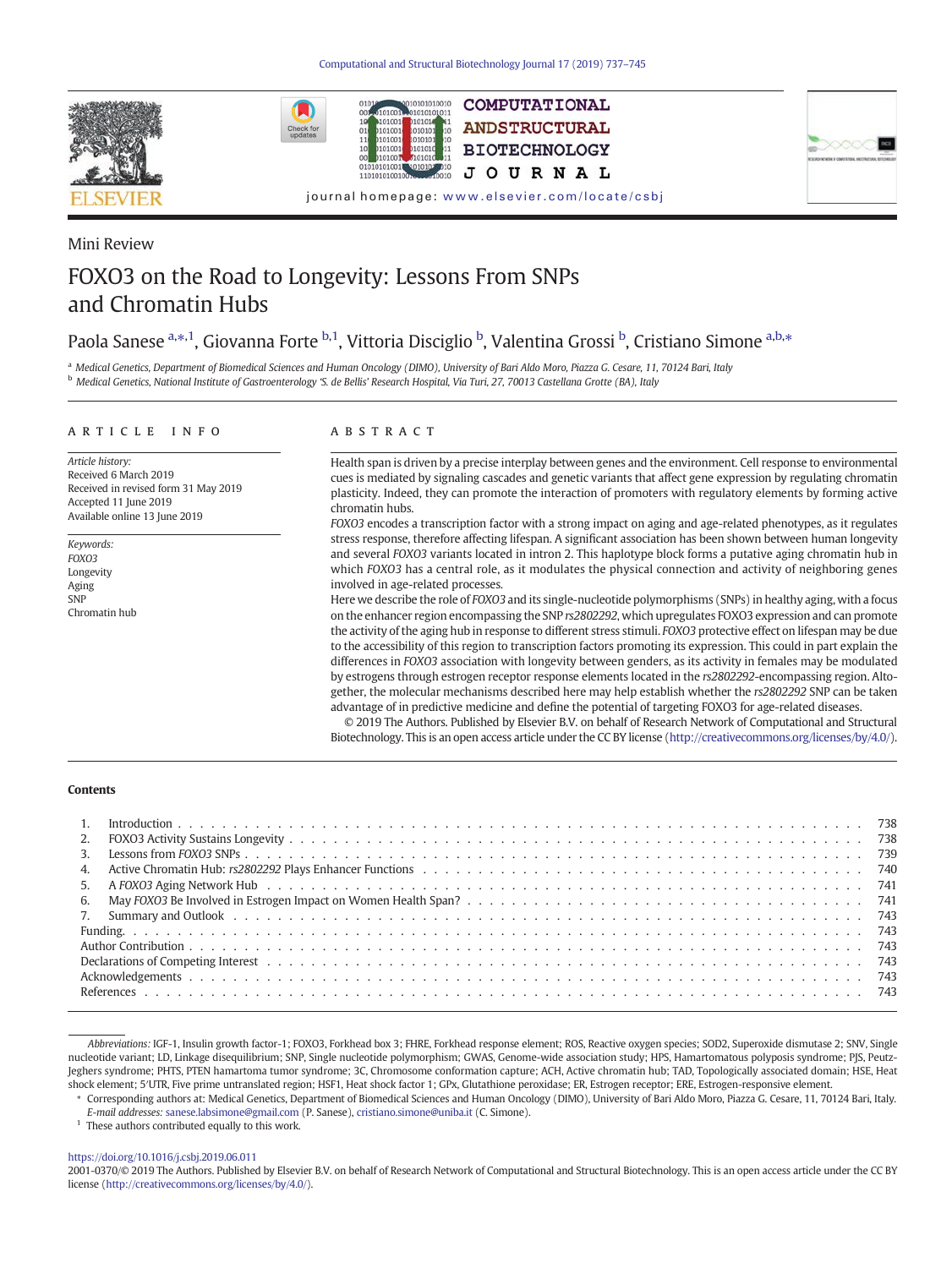



# Notion Court CIAI LONAL **BIOTECHNOLOGY** JOURNAL

COMPUTATIONAL



journal homepage: <www.elsevier.com/locate/csbj>

# Mini Review FOXO3 on the Road to Longevity: Lessons From SNPs and Chromatin Hubs

# Paola Sanese <sup>a,\*,1</sup>, Giovanna Forte <sup>b,1</sup>, Vittoria Disciglio <sup>b</sup>, Valentina Grossi <sup>b</sup>, Cristiano Simone <sup>a,b,\*</sup>

10101010010

a Medical Genetics, Department of Biomedical Sciences and Human Oncology (DIMO), University of Bari Aldo Moro, Piazza G. Cesare, 11, 70124 Bari, Italy <sup>b</sup> Medical Genetics, National Institute of Gastroenterology 'S. de Bellis' Research Hospital, Via Turi, 27, 70013 Castellana Grotte (BA), Italy

### article info abstract

Article history: Received 6 March 2019 Received in revised form 31 May 2019 Accepted 11 June 2019 Available online 13 June 2019

Keywords: FOXO3 Longevity Aging SNP Chromatin hub

Health span is driven by a precise interplay between genes and the environment. Cell response to environmental cues is mediated by signaling cascades and genetic variants that affect gene expression by regulating chromatin plasticity. Indeed, they can promote the interaction of promoters with regulatory elements by forming active chromatin hubs.

FOXO3 encodes a transcription factor with a strong impact on aging and age-related phenotypes, as it regulates stress response, therefore affecting lifespan. A significant association has been shown between human longevity and several FOXO3 variants located in intron 2. This haplotype block forms a putative aging chromatin hub in which FOXO3 has a central role, as it modulates the physical connection and activity of neighboring genes involved in age-related processes.

Here we describe the role of FOXO3 and its single-nucleotide polymorphisms (SNPs) in healthy aging, with a focus on the enhancer region encompassing the SNP rs2802292, which upregulates FOXO3 expression and can promote the activity of the aging hub in response to different stress stimuli. FOXO3 protective effect on lifespan may be due to the accessibility of this region to transcription factors promoting its expression. This could in part explain the differences in FOXO3 association with longevity between genders, as its activity in females may be modulated by estrogens through estrogen receptor response elements located in the rs2802292-encompassing region. Altogether, the molecular mechanisms described here may help establish whether the rs2802292 SNP can be taken advantage of in predictive medicine and define the potential of targeting FOXO3 for age-related diseases.

© 2019 The Authors. Published by Elsevier B.V. on behalf of Research Network of Computational and Structural Biotechnology. This is an open access article under the CC BY license [\(http://creativecommons.org/licenses/by/4.0/\)](http://creativecommons.org/licenses/by/4.0/).

# Contents

Abbreviations: IGF-1, Insulin growth factor-1; FOXO3, Forkhead box 3; FHRE, Forkhead response element; ROS, Reactive oxygen species; SOD2, Superoxide dismutase 2; SNV, Single nucleotide variant; LD, Linkage disequilibrium; SNP, Single nucleotide polymorphism; GWAS, Genome-wide association study; HPS, Hamartomatous polyposis syndrome; PJS, Peutz-Jeghers syndrome; PHTS, PTEN hamartoma tumor syndrome; 3C, Chromosome conformation capture; ACH, Active chromatin hub; TAD, Topologically associated domain; HSE, Heat shock element; 5′UTR, Five prime untranslated region; HSF1, Heat shock factor 1; GPx, Glutathione peroxidase; ER, Estrogen receptor; ERE, Estrogen-responsive element.

⁎ Corresponding authors at: Medical Genetics, Department of Biomedical Sciences and Human Oncology (DIMO), University of Bari Aldo Moro, Piazza G. Cesare, 11, 70124 Bari, Italy. E-mail addresses: sanese.labsimone@gmail.com (P. Sanese), <cristiano.simone@uniba.it> (C. Simone).

 $1$  These authors contributed equally to this work.

# <https://doi.org/10.1016/j.csbj.2019.06.011>

2001-0370/© 2019 The Authors. Published by Elsevier B.V. on behalf of Research Network of Computational and Structural Biotechnology. This is an open access article under the CC BY license [\(http://creativecommons.org/licenses/by/4.0/\)](http://creativecommons.org/licenses/by/4.0/).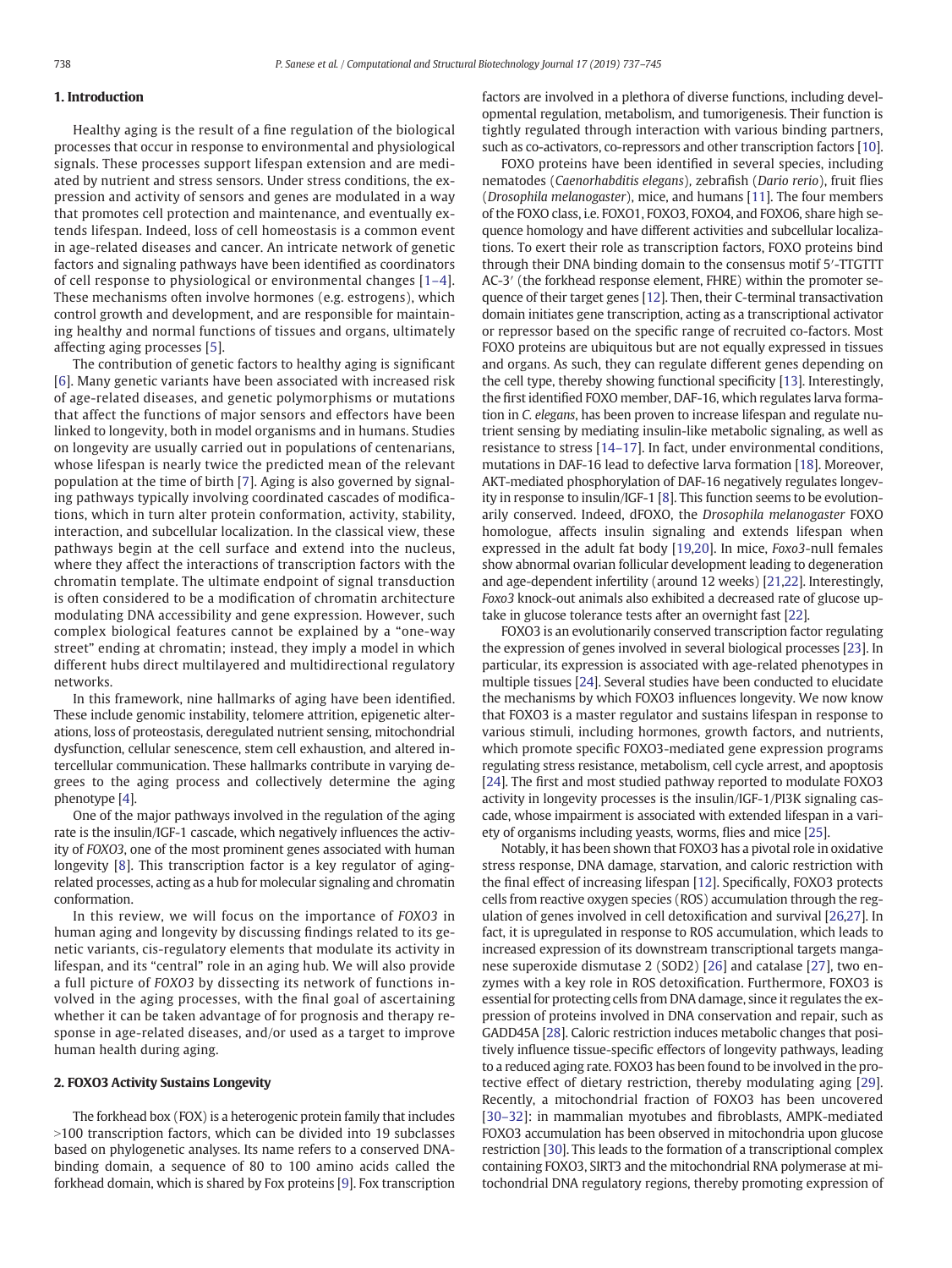# 1. Introduction

Healthy aging is the result of a fine regulation of the biological processes that occur in response to environmental and physiological signals. These processes support lifespan extension and are mediated by nutrient and stress sensors. Under stress conditions, the expression and activity of sensors and genes are modulated in a way that promotes cell protection and maintenance, and eventually extends lifespan. Indeed, loss of cell homeostasis is a common event in age-related diseases and cancer. An intricate network of genetic factors and signaling pathways have been identified as coordinators of cell response to physiological or environmental changes [\[1](#page-6-0)–4]. These mechanisms often involve hormones (e.g. estrogens), which control growth and development, and are responsible for maintaining healthy and normal functions of tissues and organs, ultimately affecting aging processes [\[5](#page-6-0)].

The contribution of genetic factors to healthy aging is significant [[6](#page-6-0)]. Many genetic variants have been associated with increased risk of age-related diseases, and genetic polymorphisms or mutations that affect the functions of major sensors and effectors have been linked to longevity, both in model organisms and in humans. Studies on longevity are usually carried out in populations of centenarians, whose lifespan is nearly twice the predicted mean of the relevant population at the time of birth [[7](#page-6-0)]. Aging is also governed by signaling pathways typically involving coordinated cascades of modifications, which in turn alter protein conformation, activity, stability, interaction, and subcellular localization. In the classical view, these pathways begin at the cell surface and extend into the nucleus, where they affect the interactions of transcription factors with the chromatin template. The ultimate endpoint of signal transduction is often considered to be a modification of chromatin architecture modulating DNA accessibility and gene expression. However, such complex biological features cannot be explained by a "one-way street" ending at chromatin; instead, they imply a model in which different hubs direct multilayered and multidirectional regulatory networks.

In this framework, nine hallmarks of aging have been identified. These include genomic instability, telomere attrition, epigenetic alterations, loss of proteostasis, deregulated nutrient sensing, mitochondrial dysfunction, cellular senescence, stem cell exhaustion, and altered intercellular communication. These hallmarks contribute in varying degrees to the aging process and collectively determine the aging phenotype [[4](#page-6-0)].

One of the major pathways involved in the regulation of the aging rate is the insulin/IGF-1 cascade, which negatively influences the activity of FOXO3, one of the most prominent genes associated with human longevity [\[8\]](#page-6-0). This transcription factor is a key regulator of agingrelated processes, acting as a hub for molecular signaling and chromatin conformation.

In this review, we will focus on the importance of FOXO3 in human aging and longevity by discussing findings related to its genetic variants, cis-regulatory elements that modulate its activity in lifespan, and its "central" role in an aging hub. We will also provide a full picture of FOXO3 by dissecting its network of functions involved in the aging processes, with the final goal of ascertaining whether it can be taken advantage of for prognosis and therapy response in age-related diseases, and/or used as a target to improve human health during aging.

# 2. FOXO3 Activity Sustains Longevity

The forkhead box (FOX) is a heterogenic protein family that includes  $>100$  transcription factors, which can be divided into 19 subclasses based on phylogenetic analyses. Its name refers to a conserved DNAbinding domain, a sequence of 80 to 100 amino acids called the forkhead domain, which is shared by Fox proteins [[9](#page-6-0)]. Fox transcription factors are involved in a plethora of diverse functions, including developmental regulation, metabolism, and tumorigenesis. Their function is tightly regulated through interaction with various binding partners, such as co-activators, co-repressors and other transcription factors [\[10](#page-6-0)].

FOXO proteins have been identified in several species, including nematodes (Caenorhabditis elegans), zebrafish (Dario rerio), fruit flies (Drosophila melanogaster), mice, and humans [\[11](#page-6-0)]. The four members of the FOXO class, i.e. FOXO1, FOXO3, FOXO4, and FOXO6, share high sequence homology and have different activities and subcellular localizations. To exert their role as transcription factors, FOXO proteins bind through their DNA binding domain to the consensus motif 5′-TTGTTT AC-3′ (the forkhead response element, FHRE) within the promoter sequence of their target genes [[12](#page-6-0)]. Then, their C-terminal transactivation domain initiates gene transcription, acting as a transcriptional activator or repressor based on the specific range of recruited co-factors. Most FOXO proteins are ubiquitous but are not equally expressed in tissues and organs. As such, they can regulate different genes depending on the cell type, thereby showing functional specificity [\[13](#page-6-0)]. Interestingly, the first identified FOXO member, DAF-16, which regulates larva formation in C. elegans, has been proven to increase lifespan and regulate nutrient sensing by mediating insulin-like metabolic signaling, as well as resistance to stress [14–[17\]](#page-6-0). In fact, under environmental conditions, mutations in DAF-16 lead to defective larva formation [\[18](#page-6-0)]. Moreover, AKT-mediated phosphorylation of DAF-16 negatively regulates longevity in response to insulin/IGF-1 [\[8\]](#page-6-0). This function seems to be evolutionarily conserved. Indeed, dFOXO, the Drosophila melanogaster FOXO homologue, affects insulin signaling and extends lifespan when expressed in the adult fat body [\[19,20\]](#page-6-0). In mice, Foxo3-null females show abnormal ovarian follicular development leading to degeneration and age-dependent infertility (around 12 weeks) [\[21](#page-6-0),[22\]](#page-6-0). Interestingly, Foxo3 knock-out animals also exhibited a decreased rate of glucose uptake in glucose tolerance tests after an overnight fast [[22](#page-6-0)].

FOXO3 is an evolutionarily conserved transcription factor regulating the expression of genes involved in several biological processes [\[23](#page-6-0)]. In particular, its expression is associated with age-related phenotypes in multiple tissues [[24\]](#page-6-0). Several studies have been conducted to elucidate the mechanisms by which FOXO3 influences longevity. We now know that FOXO3 is a master regulator and sustains lifespan in response to various stimuli, including hormones, growth factors, and nutrients, which promote specific FOXO3-mediated gene expression programs regulating stress resistance, metabolism, cell cycle arrest, and apoptosis [\[24](#page-6-0)]. The first and most studied pathway reported to modulate FOXO3 activity in longevity processes is the insulin/IGF-1/PI3K signaling cascade, whose impairment is associated with extended lifespan in a variety of organisms including yeasts, worms, flies and mice [\[25\]](#page-6-0).

Notably, it has been shown that FOXO3 has a pivotal role in oxidative stress response, DNA damage, starvation, and caloric restriction with the final effect of increasing lifespan [[12\]](#page-6-0). Specifically, FOXO3 protects cells from reactive oxygen species (ROS) accumulation through the regulation of genes involved in cell detoxification and survival [\[26](#page-6-0),[27\]](#page-6-0). In fact, it is upregulated in response to ROS accumulation, which leads to increased expression of its downstream transcriptional targets manganese superoxide dismutase 2 (SOD2) [[26](#page-6-0)] and catalase [[27\]](#page-6-0), two enzymes with a key role in ROS detoxification. Furthermore, FOXO3 is essential for protecting cells from DNA damage, since it regulates the expression of proteins involved in DNA conservation and repair, such as GADD45A [\[28\]](#page-6-0). Caloric restriction induces metabolic changes that positively influence tissue-specific effectors of longevity pathways, leading to a reduced aging rate. FOXO3 has been found to be involved in the protective effect of dietary restriction, thereby modulating aging [[29](#page-6-0)]. Recently, a mitochondrial fraction of FOXO3 has been uncovered [30–[32\]](#page-6-0): in mammalian myotubes and fibroblasts, AMPK-mediated FOXO3 accumulation has been observed in mitochondria upon glucose restriction [[30\]](#page-6-0). This leads to the formation of a transcriptional complex containing FOXO3, SIRT3 and the mitochondrial RNA polymerase at mitochondrial DNA regulatory regions, thereby promoting expression of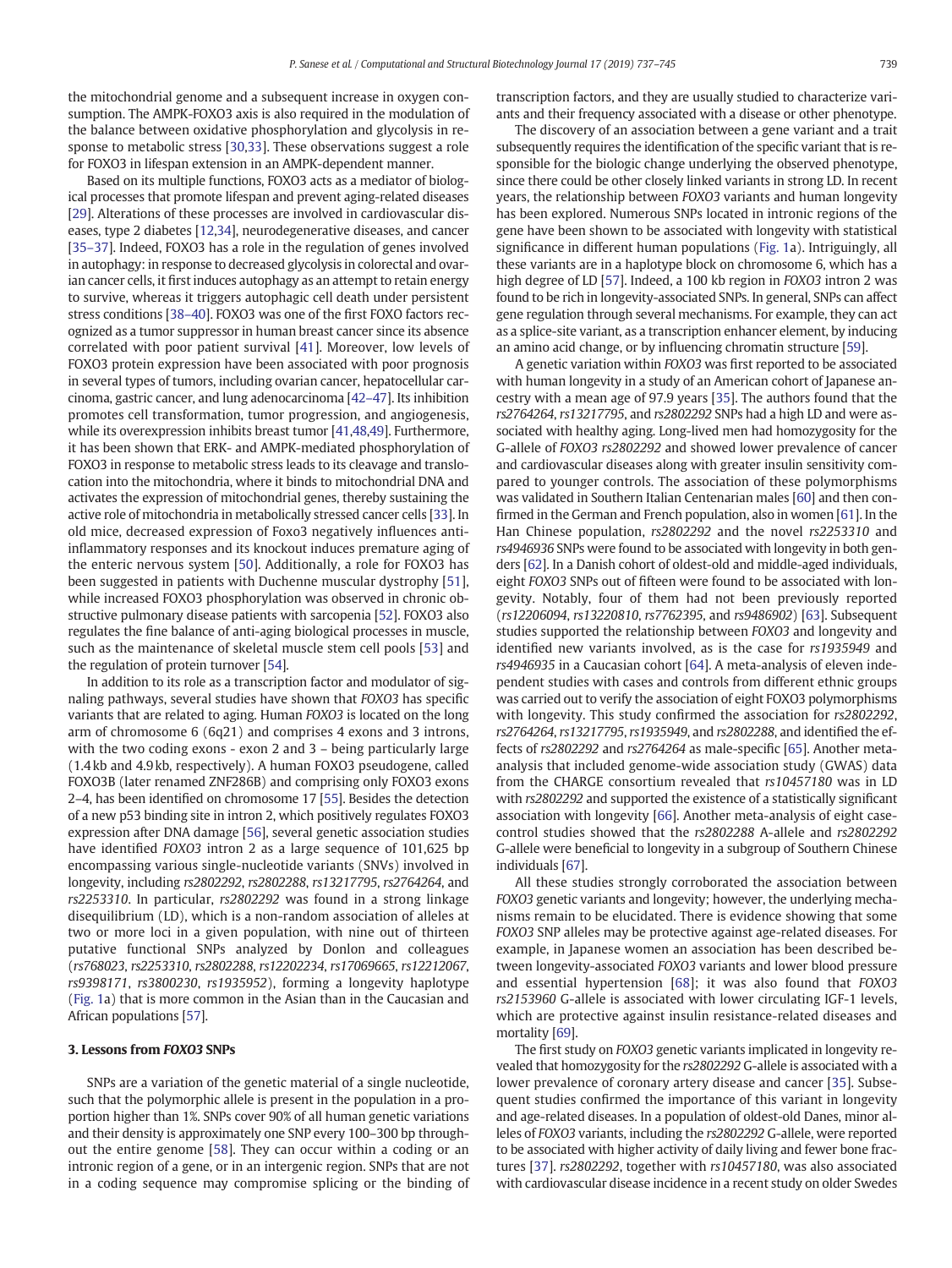the mitochondrial genome and a subsequent increase in oxygen consumption. The AMPK-FOXO3 axis is also required in the modulation of the balance between oxidative phosphorylation and glycolysis in response to metabolic stress [[30](#page-6-0),[33](#page-7-0)]. These observations suggest a role for FOXO3 in lifespan extension in an AMPK-dependent manner.

Based on its multiple functions, FOXO3 acts as a mediator of biological processes that promote lifespan and prevent aging-related diseases [\[29](#page-6-0)]. Alterations of these processes are involved in cardiovascular diseases, type 2 diabetes [\[12](#page-6-0),[34\]](#page-7-0), neurodegenerative diseases, and cancer [\[35](#page-7-0)–37]. Indeed, FOXO3 has a role in the regulation of genes involved in autophagy: in response to decreased glycolysis in colorectal and ovarian cancer cells, it first induces autophagy as an attempt to retain energy to survive, whereas it triggers autophagic cell death under persistent stress conditions [\[38](#page-7-0)–40]. FOXO3 was one of the first FOXO factors recognized as a tumor suppressor in human breast cancer since its absence correlated with poor patient survival [[41\]](#page-7-0). Moreover, low levels of FOXO3 protein expression have been associated with poor prognosis in several types of tumors, including ovarian cancer, hepatocellular carcinoma, gastric cancer, and lung adenocarcinoma [[42](#page-7-0)–47]. Its inhibition promotes cell transformation, tumor progression, and angiogenesis, while its overexpression inhibits breast tumor [\[41,48,49](#page-7-0)]. Furthermore, it has been shown that ERK- and AMPK-mediated phosphorylation of FOXO3 in response to metabolic stress leads to its cleavage and translocation into the mitochondria, where it binds to mitochondrial DNA and activates the expression of mitochondrial genes, thereby sustaining the active role of mitochondria in metabolically stressed cancer cells [\[33](#page-7-0)]. In old mice, decreased expression of Foxo3 negatively influences antiinflammatory responses and its knockout induces premature aging of the enteric nervous system [\[50\]](#page-7-0). Additionally, a role for FOXO3 has been suggested in patients with Duchenne muscular dystrophy [[51\]](#page-7-0), while increased FOXO3 phosphorylation was observed in chronic obstructive pulmonary disease patients with sarcopenia [\[52](#page-7-0)]. FOXO3 also regulates the fine balance of anti-aging biological processes in muscle, such as the maintenance of skeletal muscle stem cell pools [\[53\]](#page-7-0) and the regulation of protein turnover [\[54](#page-7-0)].

In addition to its role as a transcription factor and modulator of signaling pathways, several studies have shown that FOXO3 has specific variants that are related to aging. Human FOXO3 is located on the long arm of chromosome 6 (6q21) and comprises 4 exons and 3 introns, with the two coding exons - exon 2 and 3 – being particularly large (1.4 kb and 4.9 kb, respectively). A human FOXO3 pseudogene, called FOXO3B (later renamed ZNF286B) and comprising only FOXO3 exons 2–4, has been identified on chromosome 17 [[55\]](#page-7-0). Besides the detection of a new p53 binding site in intron 2, which positively regulates FOXO3 expression after DNA damage [\[56\]](#page-7-0), several genetic association studies have identified FOXO3 intron 2 as a large sequence of 101,625 bp encompassing various single-nucleotide variants (SNVs) involved in longevity, including rs2802292, rs2802288, rs13217795, rs2764264, and rs2253310. In particular, rs2802292 was found in a strong linkage disequilibrium (LD), which is a non-random association of alleles at two or more loci in a given population, with nine out of thirteen putative functional SNPs analyzed by Donlon and colleagues (rs768023, rs2253310, rs2802288, rs12202234, rs17069665, rs12212067, rs9398171, rs3800230, rs1935952), forming a longevity haplotype [\(Fig. 1](#page-3-0)a) that is more common in the Asian than in the Caucasian and African populations [[57\]](#page-7-0).

# 3. Lessons from FOXO3 SNPs

SNPs are a variation of the genetic material of a single nucleotide, such that the polymorphic allele is present in the population in a proportion higher than 1%. SNPs cover 90% of all human genetic variations and their density is approximately one SNP every 100–300 bp throughout the entire genome [[58\]](#page-7-0). They can occur within a coding or an intronic region of a gene, or in an intergenic region. SNPs that are not in a coding sequence may compromise splicing or the binding of transcription factors, and they are usually studied to characterize variants and their frequency associated with a disease or other phenotype.

The discovery of an association between a gene variant and a trait subsequently requires the identification of the specific variant that is responsible for the biologic change underlying the observed phenotype, since there could be other closely linked variants in strong LD. In recent years, the relationship between FOXO3 variants and human longevity has been explored. Numerous SNPs located in intronic regions of the gene have been shown to be associated with longevity with statistical significance in different human populations [\(Fig. 1](#page-3-0)a). Intriguingly, all these variants are in a haplotype block on chromosome 6, which has a high degree of LD [[57\]](#page-7-0). Indeed, a 100 kb region in FOXO3 intron 2 was found to be rich in longevity-associated SNPs. In general, SNPs can affect gene regulation through several mechanisms. For example, they can act as a splice-site variant, as a transcription enhancer element, by inducing an amino acid change, or by influencing chromatin structure [[59\]](#page-7-0).

A genetic variation within FOXO3 was first reported to be associated with human longevity in a study of an American cohort of Japanese ancestry with a mean age of 97.9 years [\[35](#page-7-0)]. The authors found that the rs2764264, rs13217795, and rs2802292 SNPs had a high LD and were associated with healthy aging. Long-lived men had homozygosity for the G-allele of FOXO3 rs2802292 and showed lower prevalence of cancer and cardiovascular diseases along with greater insulin sensitivity compared to younger controls. The association of these polymorphisms was validated in Southern Italian Centenarian males [[60\]](#page-7-0) and then confirmed in the German and French population, also in women [\[61](#page-7-0)]. In the Han Chinese population, rs2802292 and the novel rs2253310 and rs4946936 SNPs were found to be associated with longevity in both genders [\[62](#page-7-0)]. In a Danish cohort of oldest-old and middle-aged individuals, eight FOXO3 SNPs out of fifteen were found to be associated with longevity. Notably, four of them had not been previously reported (rs12206094, rs13220810, rs7762395, and rs9486902) [\[63](#page-7-0)]. Subsequent studies supported the relationship between FOXO3 and longevity and identified new variants involved, as is the case for rs1935949 and rs4946935 in a Caucasian cohort [[64\]](#page-7-0). A meta-analysis of eleven independent studies with cases and controls from different ethnic groups was carried out to verify the association of eight FOXO3 polymorphisms with longevity. This study confirmed the association for rs2802292, rs2764264, rs13217795,rs1935949, and rs2802288, and identified the effects of rs2802292 and rs2764264 as male-specific [\[65](#page-7-0)]. Another metaanalysis that included genome-wide association study (GWAS) data from the CHARGE consortium revealed that rs10457180 was in LD with rs2802292 and supported the existence of a statistically significant association with longevity [\[66\]](#page-7-0). Another meta-analysis of eight casecontrol studies showed that the rs2802288 A-allele and rs2802292 G-allele were beneficial to longevity in a subgroup of Southern Chinese individuals [\[67](#page-7-0)].

All these studies strongly corroborated the association between FOXO3 genetic variants and longevity; however, the underlying mechanisms remain to be elucidated. There is evidence showing that some FOXO3 SNP alleles may be protective against age-related diseases. For example, in Japanese women an association has been described between longevity-associated FOXO3 variants and lower blood pressure and essential hypertension [[68\]](#page-7-0); it was also found that FOXO3 rs2153960 G-allele is associated with lower circulating IGF-1 levels, which are protective against insulin resistance-related diseases and mortality [\[69](#page-7-0)].

The first study on FOXO3 genetic variants implicated in longevity revealed that homozygosity for the rs2802292 G-allele is associated with a lower prevalence of coronary artery disease and cancer [[35\]](#page-7-0). Subsequent studies confirmed the importance of this variant in longevity and age-related diseases. In a population of oldest-old Danes, minor alleles of FOXO3 variants, including the rs2802292 G-allele, were reported to be associated with higher activity of daily living and fewer bone fractures [\[37](#page-7-0)]. rs2802292, together with rs10457180, was also associated with cardiovascular disease incidence in a recent study on older Swedes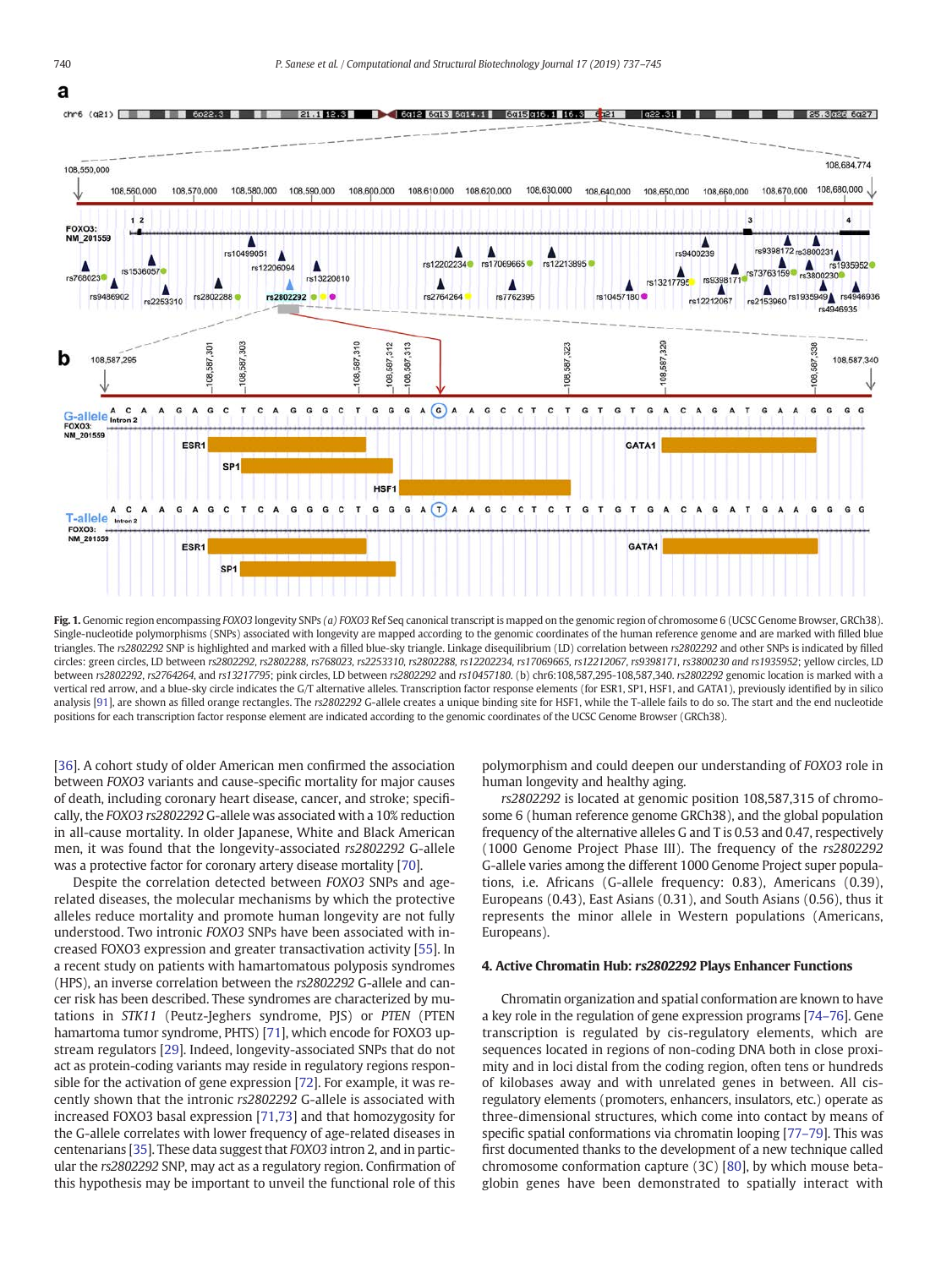<span id="page-3-0"></span>

Fig. 1. Genomic region encompassing FOXO3 longevity SNPs (a) FOXO3 Ref Seq canonical transcript is mapped on the genomic region of chromosome 6 (UCSC Genome Browser, GRCh38). Single-nucleotide polymorphisms (SNPs) associated with longevity are mapped according to the genomic coordinates of the human reference genome and are marked with filled blue triangles. The rs2802292 SNP is highlighted and marked with a filled blue-sky triangle. Linkage disequilibrium (LD) correlation between rs2802292 and other SNPs is indicated by filled circles: green circles, LD between rs2802292, rs2802288, rs768023, rs2253310, rs2802288, rs12202234, rs17069665, rs12212067, rs9398171, rs3800230 and rs1935952; yellow circles, LD between rs2802292, rs2764264, and rs13217795; pink circles, LD between rs2802292 and rs10457180. (b) chr6:108,587,295-108,587,340. rs2802292 genomic location is marked with a vertical red arrow, and a blue-sky circle indicates the G/T alternative alleles. Transcription factor response elements (for ESR1, SP1, HSF1, and GATA1), previously identified by in silico analysis [[91](#page-8-0)], are shown as filled orange rectangles. The rs2802292 G-allele creates a unique binding site for HSF1, while the T-allele fails to do so. The start and the end nucleotide positions for each transcription factor response element are indicated according to the genomic coordinates of the UCSC Genome Browser (GRCh38).

[[36\]](#page-7-0). A cohort study of older American men confirmed the association between FOXO3 variants and cause-specific mortality for major causes of death, including coronary heart disease, cancer, and stroke; specifically, the FOXO3 rs2802292 G-allele was associated with a 10% reduction in all-cause mortality. In older Japanese, White and Black American men, it was found that the longevity-associated rs2802292 G-allele was a protective factor for coronary artery disease mortality [\[70](#page-7-0)].

Despite the correlation detected between FOXO3 SNPs and agerelated diseases, the molecular mechanisms by which the protective alleles reduce mortality and promote human longevity are not fully understood. Two intronic FOXO3 SNPs have been associated with increased FOXO3 expression and greater transactivation activity [[55\]](#page-7-0). In a recent study on patients with hamartomatous polyposis syndromes (HPS), an inverse correlation between the rs2802292 G-allele and cancer risk has been described. These syndromes are characterized by mutations in STK11 (Peutz-Jeghers syndrome, PJS) or PTEN (PTEN hamartoma tumor syndrome, PHTS) [\[71\]](#page-7-0), which encode for FOXO3 upstream regulators [[29\]](#page-6-0). Indeed, longevity-associated SNPs that do not act as protein-coding variants may reside in regulatory regions responsible for the activation of gene expression [\[72](#page-7-0)]. For example, it was recently shown that the intronic rs2802292 G-allele is associated with increased FOXO3 basal expression [\[71,73](#page-7-0)] and that homozygosity for the G-allele correlates with lower frequency of age-related diseases in centenarians [\[35](#page-7-0)]. These data suggest that FOXO3 intron 2, and in particular the rs2802292 SNP, may act as a regulatory region. Confirmation of this hypothesis may be important to unveil the functional role of this polymorphism and could deepen our understanding of FOXO3 role in human longevity and healthy aging.

rs2802292 is located at genomic position 108,587,315 of chromosome 6 (human reference genome GRCh38), and the global population frequency of the alternative alleles G and T is 0.53 and 0.47, respectively (1000 Genome Project Phase III). The frequency of the rs2802292 G-allele varies among the different 1000 Genome Project super populations, i.e. Africans (G-allele frequency: 0.83), Americans (0.39), Europeans (0.43), East Asians (0.31), and South Asians (0.56), thus it represents the minor allele in Western populations (Americans, Europeans).

#### 4. Active Chromatin Hub: rs2802292 Plays Enhancer Functions

Chromatin organization and spatial conformation are known to have a key role in the regulation of gene expression programs [74–[76](#page-7-0)]. Gene transcription is regulated by cis-regulatory elements, which are sequences located in regions of non-coding DNA both in close proximity and in loci distal from the coding region, often tens or hundreds of kilobases away and with unrelated genes in between. All cisregulatory elements (promoters, enhancers, insulators, etc.) operate as three-dimensional structures, which come into contact by means of specific spatial conformations via chromatin looping [[77](#page-7-0)–79]. This was first documented thanks to the development of a new technique called chromosome conformation capture (3C) [[80](#page-7-0)], by which mouse betaglobin genes have been demonstrated to spatially interact with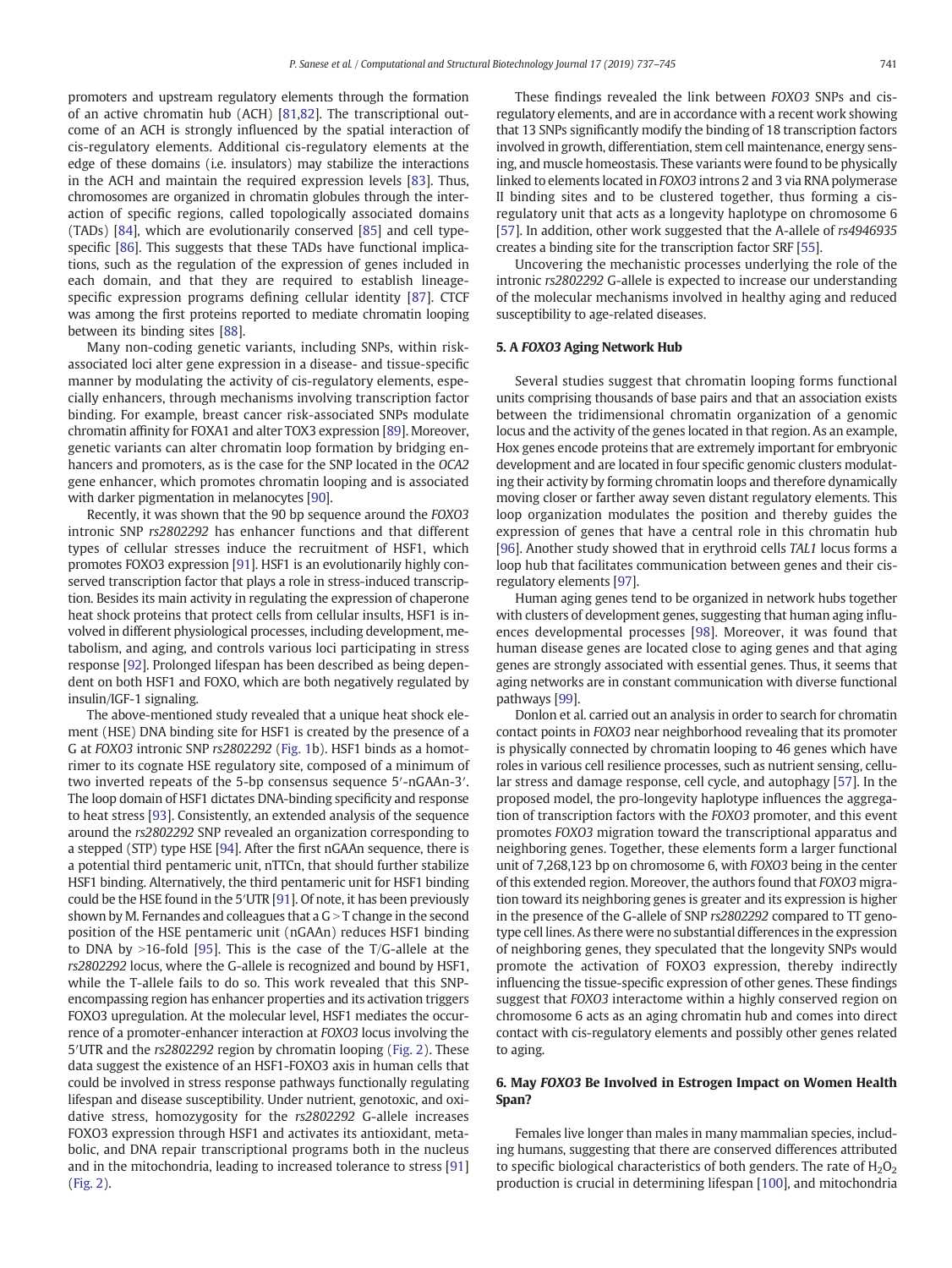promoters and upstream regulatory elements through the formation of an active chromatin hub (ACH) [[81](#page-7-0),[82](#page-7-0)]. The transcriptional outcome of an ACH is strongly influenced by the spatial interaction of cis-regulatory elements. Additional cis-regulatory elements at the edge of these domains (i.e. insulators) may stabilize the interactions in the ACH and maintain the required expression levels [\[83\]](#page-7-0). Thus, chromosomes are organized in chromatin globules through the interaction of specific regions, called topologically associated domains (TADs) [\[84](#page-7-0)], which are evolutionarily conserved [\[85](#page-8-0)] and cell type-specific [\[86\]](#page-8-0). This suggests that these TADs have functional implications, such as the regulation of the expression of genes included in each domain, and that they are required to establish lineagespecific expression programs defining cellular identity [[87\]](#page-8-0). CTCF was among the first proteins reported to mediate chromatin looping between its binding sites [\[88\]](#page-8-0).

Many non-coding genetic variants, including SNPs, within riskassociated loci alter gene expression in a disease- and tissue-specific manner by modulating the activity of cis-regulatory elements, especially enhancers, through mechanisms involving transcription factor binding. For example, breast cancer risk-associated SNPs modulate chromatin affinity for FOXA1 and alter TOX3 expression [\[89](#page-8-0)]. Moreover, genetic variants can alter chromatin loop formation by bridging enhancers and promoters, as is the case for the SNP located in the OCA2 gene enhancer, which promotes chromatin looping and is associated with darker pigmentation in melanocytes [[90\]](#page-8-0).

Recently, it was shown that the 90 bp sequence around the FOXO3 intronic SNP rs2802292 has enhancer functions and that different types of cellular stresses induce the recruitment of HSF1, which promotes FOXO3 expression [\[91\]](#page-8-0). HSF1 is an evolutionarily highly conserved transcription factor that plays a role in stress-induced transcription. Besides its main activity in regulating the expression of chaperone heat shock proteins that protect cells from cellular insults, HSF1 is involved in different physiological processes, including development, metabolism, and aging, and controls various loci participating in stress response [[92\]](#page-8-0). Prolonged lifespan has been described as being dependent on both HSF1 and FOXO, which are both negatively regulated by insulin/IGF-1 signaling.

The above-mentioned study revealed that a unique heat shock element (HSE) DNA binding site for HSF1 is created by the presence of a G at FOXO3 intronic SNP rs2802292 ([Fig. 1](#page-3-0)b). HSF1 binds as a homotrimer to its cognate HSE regulatory site, composed of a minimum of two inverted repeats of the 5-bp consensus sequence 5′-nGAAn-3′. The loop domain of HSF1 dictates DNA-binding specificity and response to heat stress [\[93](#page-8-0)]. Consistently, an extended analysis of the sequence around the rs2802292 SNP revealed an organization corresponding to a stepped (STP) type HSE [[94](#page-8-0)]. After the first nGAAn sequence, there is a potential third pentameric unit, nTTCn, that should further stabilize HSF1 binding. Alternatively, the third pentameric unit for HSF1 binding could be the HSE found in the 5′UTR [\[91\]](#page-8-0). Of note, it has been previously shown by M. Fernandes and colleagues that a  $G > T$  change in the second position of the HSE pentameric unit (nGAAn) reduces HSF1 binding to DNA by  $>16$ -fold [\[95\]](#page-8-0). This is the case of the T/G-allele at the rs2802292 locus, where the G-allele is recognized and bound by HSF1, while the T-allele fails to do so. This work revealed that this SNPencompassing region has enhancer properties and its activation triggers FOXO3 upregulation. At the molecular level, HSF1 mediates the occurrence of a promoter-enhancer interaction at FOXO3 locus involving the 5′UTR and the rs2802292 region by chromatin looping ([Fig. 2](#page-5-0)). These data suggest the existence of an HSF1-FOXO3 axis in human cells that could be involved in stress response pathways functionally regulating lifespan and disease susceptibility. Under nutrient, genotoxic, and oxidative stress, homozygosity for the rs2802292 G-allele increases FOXO3 expression through HSF1 and activates its antioxidant, metabolic, and DNA repair transcriptional programs both in the nucleus and in the mitochondria, leading to increased tolerance to stress [[91\]](#page-8-0) [\(Fig. 2\)](#page-5-0).

These findings revealed the link between FOXO3 SNPs and cisregulatory elements, and are in accordance with a recent work showing that 13 SNPs significantly modify the binding of 18 transcription factors involved in growth, differentiation, stem cell maintenance, energy sensing, and muscle homeostasis. These variants were found to be physically linked to elements located in FOXO3 introns 2 and 3 via RNA polymerase II binding sites and to be clustered together, thus forming a cisregulatory unit that acts as a longevity haplotype on chromosome 6 [\[57](#page-7-0)]. In addition, other work suggested that the A-allele of rs4946935 creates a binding site for the transcription factor SRF [\[55](#page-7-0)].

Uncovering the mechanistic processes underlying the role of the intronic rs2802292 G-allele is expected to increase our understanding of the molecular mechanisms involved in healthy aging and reduced susceptibility to age-related diseases.

## 5. A FOXO3 Aging Network Hub

Several studies suggest that chromatin looping forms functional units comprising thousands of base pairs and that an association exists between the tridimensional chromatin organization of a genomic locus and the activity of the genes located in that region. As an example, Hox genes encode proteins that are extremely important for embryonic development and are located in four specific genomic clusters modulating their activity by forming chromatin loops and therefore dynamically moving closer or farther away seven distant regulatory elements. This loop organization modulates the position and thereby guides the expression of genes that have a central role in this chromatin hub [\[96](#page-8-0)]. Another study showed that in erythroid cells TAL1 locus forms a loop hub that facilitates communication between genes and their cisregulatory elements [[97](#page-8-0)].

Human aging genes tend to be organized in network hubs together with clusters of development genes, suggesting that human aging influences developmental processes [\[98\]](#page-8-0). Moreover, it was found that human disease genes are located close to aging genes and that aging genes are strongly associated with essential genes. Thus, it seems that aging networks are in constant communication with diverse functional pathways [[99\]](#page-8-0).

Donlon et al. carried out an analysis in order to search for chromatin contact points in FOXO3 near neighborhood revealing that its promoter is physically connected by chromatin looping to 46 genes which have roles in various cell resilience processes, such as nutrient sensing, cellular stress and damage response, cell cycle, and autophagy [\[57](#page-7-0)]. In the proposed model, the pro-longevity haplotype influences the aggregation of transcription factors with the FOXO3 promoter, and this event promotes FOXO3 migration toward the transcriptional apparatus and neighboring genes. Together, these elements form a larger functional unit of 7,268,123 bp on chromosome 6, with FOXO3 being in the center of this extended region. Moreover, the authors found that FOXO3 migration toward its neighboring genes is greater and its expression is higher in the presence of the G-allele of SNP rs2802292 compared to TT genotype cell lines. As there were no substantial differences in the expression of neighboring genes, they speculated that the longevity SNPs would promote the activation of FOXO3 expression, thereby indirectly influencing the tissue-specific expression of other genes. These findings suggest that FOXO3 interactome within a highly conserved region on chromosome 6 acts as an aging chromatin hub and comes into direct contact with cis-regulatory elements and possibly other genes related to aging.

# 6. May FOXO3 Be Involved in Estrogen Impact on Women Health Span?

Females live longer than males in many mammalian species, including humans, suggesting that there are conserved differences attributed to specific biological characteristics of both genders. The rate of  $H_2O_2$ production is crucial in determining lifespan [\[100](#page-8-0)], and mitochondria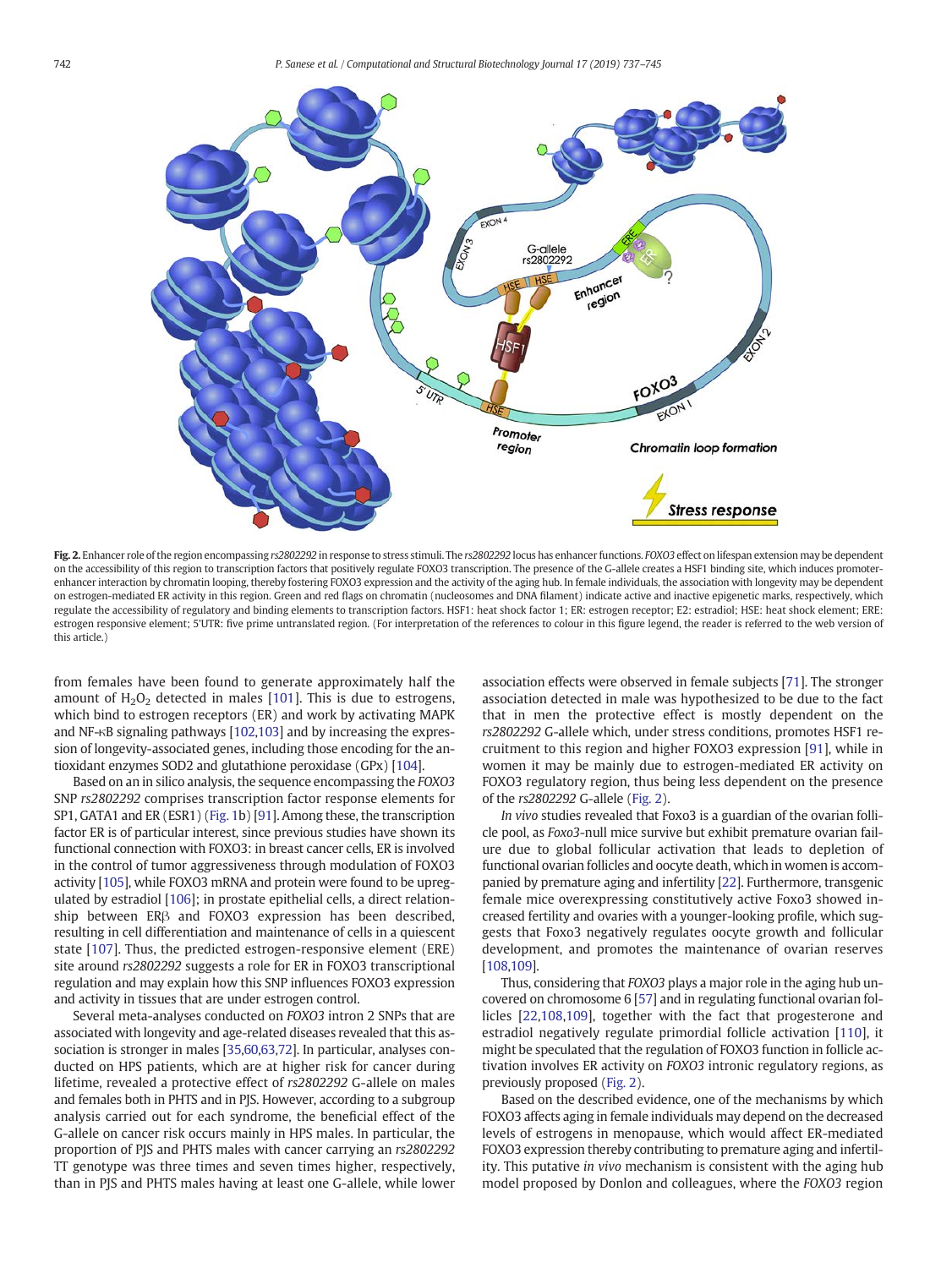<span id="page-5-0"></span>

Fig. 2. Enhancer role of the region encompassing rs2802292 in response to stress stimuli. The rs2802292 locus has enhancer functions. FOXO3 effect on lifespan extension may be dependent on the accessibility of this region to transcription factors that positively regulate FOXO3 transcription. The presence of the G-allele creates a HSF1 binding site, which induces promoterenhancer interaction by chromatin looping, thereby fostering FOXO3 expression and the activity of the aging hub. In female individuals, the association with longevity may be dependent on estrogen-mediated ER activity in this region. Green and red flags on chromatin (nucleosomes and DNA filament) indicate active and inactive epigenetic marks, respectively, which regulate the accessibility of regulatory and binding elements to transcription factors. HSF1: heat shock factor 1; ER: estrogen receptor; E2: estradiol; HSE: heat shock element; ERE: estrogen responsive element; 5'UTR: five prime untranslated region. (For interpretation of the references to colour in this figure legend, the reader is referred to the web version of this article.)

from females have been found to generate approximately half the amount of  $H_2O_2$  detected in males [[101](#page-8-0)]. This is due to estrogens, which bind to estrogen receptors (ER) and work by activating MAPK and NF-κB signaling pathways [\[102,103\]](#page-8-0) and by increasing the expression of longevity-associated genes, including those encoding for the antioxidant enzymes SOD2 and glutathione peroxidase (GPx) [[104](#page-8-0)].

Based on an in silico analysis, the sequence encompassing the FOXO3 SNP rs2802292 comprises transcription factor response elements for SP1, GATA1 and ER (ESR1) [\(Fig. 1](#page-3-0)b) [\[91](#page-8-0)]. Among these, the transcription factor ER is of particular interest, since previous studies have shown its functional connection with FOXO3: in breast cancer cells, ER is involved in the control of tumor aggressiveness through modulation of FOXO3 activity [\[105\]](#page-8-0), while FOXO3 mRNA and protein were found to be upregulated by estradiol [\[106\]](#page-8-0); in prostate epithelial cells, a direct relationship between ERβ and FOXO3 expression has been described, resulting in cell differentiation and maintenance of cells in a quiescent state [\[107\]](#page-8-0). Thus, the predicted estrogen-responsive element (ERE) site around rs2802292 suggests a role for ER in FOXO3 transcriptional regulation and may explain how this SNP influences FOXO3 expression and activity in tissues that are under estrogen control.

Several meta-analyses conducted on FOXO3 intron 2 SNPs that are associated with longevity and age-related diseases revealed that this association is stronger in males [\[35,60,63,72\]](#page-7-0). In particular, analyses conducted on HPS patients, which are at higher risk for cancer during lifetime, revealed a protective effect of rs2802292 G-allele on males and females both in PHTS and in PJS. However, according to a subgroup analysis carried out for each syndrome, the beneficial effect of the G-allele on cancer risk occurs mainly in HPS males. In particular, the proportion of PJS and PHTS males with cancer carrying an rs2802292 TT genotype was three times and seven times higher, respectively, than in PJS and PHTS males having at least one G-allele, while lower association effects were observed in female subjects [[71\]](#page-7-0). The stronger association detected in male was hypothesized to be due to the fact that in men the protective effect is mostly dependent on the rs2802292 G-allele which, under stress conditions, promotes HSF1 recruitment to this region and higher FOXO3 expression [\[91\]](#page-8-0), while in women it may be mainly due to estrogen-mediated ER activity on FOXO3 regulatory region, thus being less dependent on the presence of the rs2802292 G-allele (Fig. 2).

In vivo studies revealed that Foxo3 is a guardian of the ovarian follicle pool, as Foxo3-null mice survive but exhibit premature ovarian failure due to global follicular activation that leads to depletion of functional ovarian follicles and oocyte death, which in women is accompanied by premature aging and infertility [\[22\]](#page-6-0). Furthermore, transgenic female mice overexpressing constitutively active Foxo3 showed increased fertility and ovaries with a younger-looking profile, which suggests that Foxo3 negatively regulates oocyte growth and follicular development, and promotes the maintenance of ovarian reserves [\[108,109\]](#page-8-0).

Thus, considering that FOXO3 plays a major role in the aging hub uncovered on chromosome 6 [[57](#page-7-0)] and in regulating functional ovarian follicles [\[22,](#page-6-0)[108,109\]](#page-8-0), together with the fact that progesterone and estradiol negatively regulate primordial follicle activation [[110](#page-8-0)], it might be speculated that the regulation of FOXO3 function in follicle activation involves ER activity on FOXO3 intronic regulatory regions, as previously proposed (Fig. 2).

Based on the described evidence, one of the mechanisms by which FOXO3 affects aging in female individuals may depend on the decreased levels of estrogens in menopause, which would affect ER-mediated FOXO3 expression thereby contributing to premature aging and infertility. This putative in vivo mechanism is consistent with the aging hub model proposed by Donlon and colleagues, where the FOXO3 region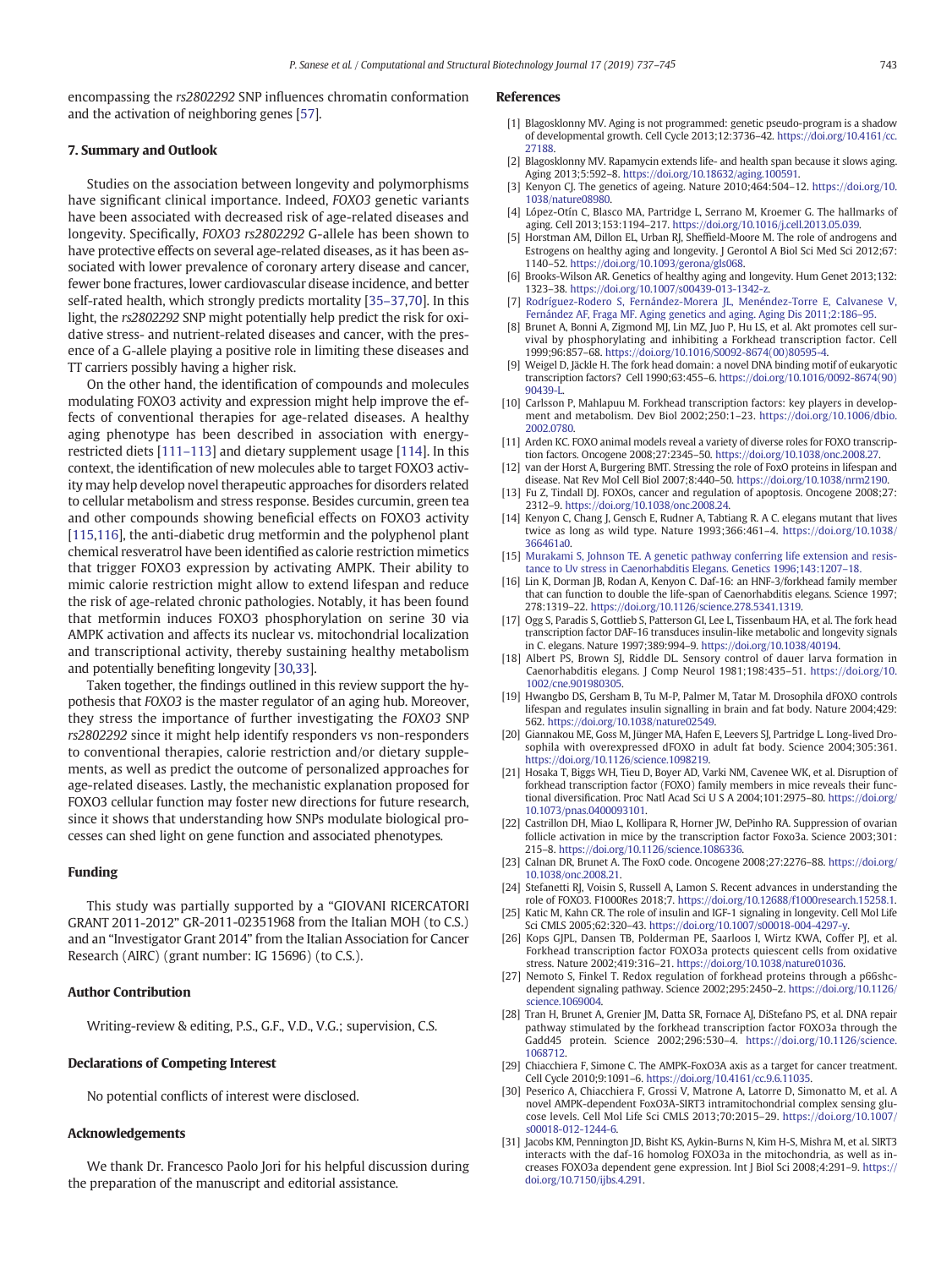<span id="page-6-0"></span>encompassing the rs2802292 SNP influences chromatin conformation and the activation of neighboring genes [\[57\]](#page-7-0).

#### 7. Summary and Outlook

Studies on the association between longevity and polymorphisms have significant clinical importance. Indeed, FOXO3 genetic variants have been associated with decreased risk of age-related diseases and longevity. Specifically, FOXO3 rs2802292 G-allele has been shown to have protective effects on several age-related diseases, as it has been associated with lower prevalence of coronary artery disease and cancer, fewer bone fractures, lower cardiovascular disease incidence, and better self-rated health, which strongly predicts mortality [[35](#page-7-0)–37[,70](#page-7-0)]. In this light, the rs2802292 SNP might potentially help predict the risk for oxidative stress- and nutrient-related diseases and cancer, with the presence of a G-allele playing a positive role in limiting these diseases and TT carriers possibly having a higher risk.

On the other hand, the identification of compounds and molecules modulating FOXO3 activity and expression might help improve the effects of conventional therapies for age-related diseases. A healthy aging phenotype has been described in association with energyrestricted diets [111–[113\]](#page-8-0) and dietary supplement usage [[114](#page-8-0)]. In this context, the identification of new molecules able to target FOXO3 activity may help develop novel therapeutic approaches for disorders related to cellular metabolism and stress response. Besides curcumin, green tea and other compounds showing beneficial effects on FOXO3 activity [\[115,116](#page-8-0)], the anti-diabetic drug metformin and the polyphenol plant chemical resveratrol have been identified as calorie restriction mimetics that trigger FOXO3 expression by activating AMPK. Their ability to mimic calorie restriction might allow to extend lifespan and reduce the risk of age-related chronic pathologies. Notably, it has been found that metformin induces FOXO3 phosphorylation on serine 30 via AMPK activation and affects its nuclear vs. mitochondrial localization and transcriptional activity, thereby sustaining healthy metabolism and potentially benefiting longevity [30,[33\]](#page-7-0).

Taken together, the findings outlined in this review support the hypothesis that FOXO3 is the master regulator of an aging hub. Moreover, they stress the importance of further investigating the FOXO3 SNP rs2802292 since it might help identify responders vs non-responders to conventional therapies, calorie restriction and/or dietary supplements, as well as predict the outcome of personalized approaches for age-related diseases. Lastly, the mechanistic explanation proposed for FOXO3 cellular function may foster new directions for future research, since it shows that understanding how SNPs modulate biological processes can shed light on gene function and associated phenotypes.

## Funding

This study was partially supported by a "GIOVANI RICERCATORI GRANT 2011-2012" GR-2011-02351968 from the Italian MOH (to C.S.) and an "Investigator Grant 2014" from the Italian Association for Cancer Research (AIRC) (grant number: IG 15696) (to C.S.).

## Author Contribution

Writing-review & editing, P.S., G.F., V.D., V.G.; supervision, C.S.

# Declarations of Competing Interest

No potential conflicts of interest were disclosed.

# Acknowledgements

We thank Dr. Francesco Paolo Jori for his helpful discussion during the preparation of the manuscript and editorial assistance.

#### References

- [1] Blagosklonny MV. Aging is not programmed: genetic pseudo-program is a shadow of developmental growth. Cell Cycle 2013;12:3736–42. [https://doi.org/10.4161/cc.](https://doi.org/10.4161/cc.27188) [27188](https://doi.org/10.4161/cc.27188).
- [2] Blagosklonny MV. Rapamycin extends life- and health span because it slows aging. Aging 2013;5:592–8. <https://doi.org/10.18632/aging.100591>.
- [3] Kenyon CJ. The genetics of ageing. Nature 2010;464:504–12. [https://doi.org/10.](https://doi.org/10.1038/nature08980) [1038/nature08980.](https://doi.org/10.1038/nature08980)
- [4] López-Otín C, Blasco MA, Partridge L, Serrano M, Kroemer G. The hallmarks of aging. Cell 2013;153:1194–217. [https://doi.org/10.1016/j.cell.2013.05.039.](https://doi.org/10.1016/j.cell.2013.05.039)
- [5] Horstman AM, Dillon EL, Urban RJ, Sheffield-Moore M. The role of androgens and Estrogens on healthy aging and longevity. J Gerontol A Biol Sci Med Sci 2012;67: 1140–52. [https://doi.org/10.1093/gerona/gls068.](https://doi.org/10.1093/gerona/gls068)
- [6] Brooks-Wilson AR. Genetics of healthy aging and longevity. Hum Genet 2013;132: 1323–38. [https://doi.org/10.1007/s00439-013-1342-z.](https://doi.org/10.1007/s00439-013-1342-z)
- [7] [Rodríguez-Rodero S, Fernández-Morera JL, Menéndez-Torre E, Calvanese V,](http://refhub.elsevier.com/S2001-0370(19)30101-1/rf0035) [Fernández AF, Fraga MF. Aging genetics and aging. Aging Dis 2011;2:186](http://refhub.elsevier.com/S2001-0370(19)30101-1/rf0035)–95.
- [8] Brunet A, Bonni A, Zigmond MJ, Lin MZ, Juo P, Hu LS, et al. Akt promotes cell survival by phosphorylating and inhibiting a Forkhead transcription factor. Cell 1999;96:857–68. [https://doi.org/10.1016/S0092-8674\(00\)80595-4](https://doi.org/10.1016/S0092-8674(00)80595-4).
- [9] Weigel D, Jäckle H. The fork head domain: a novel DNA binding motif of eukaryotic transcription factors? Cell 1990;63:455–6. [https://doi.org/10.1016/0092-8674\(90\)](https://doi.org/10.1016/0092-8674(90)90439-L) [90439-L.](https://doi.org/10.1016/0092-8674(90)90439-L)
- [10] Carlsson P, Mahlapuu M. Forkhead transcription factors: key players in development and metabolism. Dev Biol 2002;250:1–23. [https://doi.org/10.1006/dbio.](https://doi.org/10.1006/dbio.2002.0780) [2002.0780.](https://doi.org/10.1006/dbio.2002.0780)
- [11] Arden KC. FOXO animal models reveal a variety of diverse roles for FOXO transcription factors. Oncogene 2008;27:2345–50. [https://doi.org/10.1038/onc.2008.27.](https://doi.org/10.1038/onc.2008.27)
- [12] van der Horst A, Burgering BMT. Stressing the role of FoxO proteins in lifespan and disease. Nat Rev Mol Cell Biol 2007;8:440–50. <https://doi.org/10.1038/nrm2190>.
- [13] Fu Z, Tindall DJ. FOXOs, cancer and regulation of apoptosis. Oncogene 2008;27: 2312–9. [https://doi.org/10.1038/onc.2008.24.](https://doi.org/10.1038/onc.2008.24)
- [14] Kenyon C, Chang J, Gensch E, Rudner A, Tabtiang R. A C. elegans mutant that lives twice as long as wild type. Nature 1993;366:461–4. [https://doi.org/10.1038/](https://doi.org/10.1038/366461a0) [366461a0.](https://doi.org/10.1038/366461a0)
- [15] [Murakami S, Johnson TE. A genetic pathway conferring life extension and resis](http://refhub.elsevier.com/S2001-0370(19)30101-1/rf0075)[tance to Uv stress in Caenorhabditis Elegans. Genetics 1996;143:1207](http://refhub.elsevier.com/S2001-0370(19)30101-1/rf0075)–18.
- [16] Lin K, Dorman JB, Rodan A, Kenyon C. Daf-16: an HNF-3/forkhead family member that can function to double the life-span of Caenorhabditis elegans. Science 1997; 278:1319–22. <https://doi.org/10.1126/science.278.5341.1319>.
- [17] Ogg S, Paradis S, Gottlieb S, Patterson GI, Lee L, Tissenbaum HA, et al. The fork head transcription factor DAF-16 transduces insulin-like metabolic and longevity signals in C. elegans. Nature 1997;389:994–9. [https://doi.org/10.1038/40194.](https://doi.org/10.1038/40194)
- [18] Albert PS, Brown SJ, Riddle DL. Sensory control of dauer larva formation in Caenorhabditis elegans. J Comp Neurol 1981;198:435–51. [https://doi.org/10.](https://doi.org/10.1002/cne.901980305) [1002/cne.901980305.](https://doi.org/10.1002/cne.901980305)
- [19] Hwangbo DS, Gersham B, Tu M-P, Palmer M, Tatar M. Drosophila dFOXO controls lifespan and regulates insulin signalling in brain and fat body. Nature 2004;429: 562. [https://doi.org/10.1038/nature02549.](https://doi.org/10.1038/nature02549)
- [20] Giannakou ME, Goss M, Jünger MA, Hafen E, Leevers SJ, Partridge L. Long-lived Drosophila with overexpressed dFOXO in adult fat body. Science 2004;305:361. <https://doi.org/10.1126/science.1098219>.
- [21] Hosaka T, Biggs WH, Tieu D, Boyer AD, Varki NM, Cavenee WK, et al. Disruption of forkhead transcription factor (FOXO) family members in mice reveals their functional diversification. Proc Natl Acad Sci U S A 2004;101:2975–80. [https://doi.org/](https://doi.org/10.1073/pnas.0400093101) [10.1073/pnas.0400093101.](https://doi.org/10.1073/pnas.0400093101)
- [22] Castrillon DH, Miao L, Kollipara R, Horner JW, DePinho RA. Suppression of ovarian follicle activation in mice by the transcription factor Foxo3a. Science 2003;301: 215–8. <https://doi.org/10.1126/science.1086336>.
- [23] Calnan DR, Brunet A. The FoxO code. Oncogene 2008;27:2276–88. [https://doi.org/](https://doi.org/10.1038/onc.2008.21) [10.1038/onc.2008.21.](https://doi.org/10.1038/onc.2008.21)
- [24] Stefanetti RJ, Voisin S, Russell A, Lamon S. Recent advances in understanding the role of FOXO3. F1000Res 2018;7. [https://doi.org/10.12688/f1000research.15258.1.](https://doi.org/10.12688/f1000research.15258.1)
- [25] Katic M, Kahn CR. The role of insulin and IGF-1 signaling in longevity. Cell Mol Life Sci CMLS 2005;62:320–43. <https://doi.org/10.1007/s00018-004-4297-y>.
- [26] Kops GJPL, Dansen TB, Polderman PE, Saarloos I, Wirtz KWA, Coffer PJ, et al. Forkhead transcription factor FOXO3a protects quiescent cells from oxidative stress. Nature 2002;419:316–21. [https://doi.org/10.1038/nature01036.](https://doi.org/10.1038/nature01036)
- [27] Nemoto S, Finkel T. Redox regulation of forkhead proteins through a p66shcdependent signaling pathway. Science 2002;295:2450–2. [https://doi.org/10.1126/](https://doi.org/10.1126/science.1069004) [science.1069004.](https://doi.org/10.1126/science.1069004)
- [28] Tran H, Brunet A, Grenier JM, Datta SR, Fornace AJ, DiStefano PS, et al. DNA repair pathway stimulated by the forkhead transcription factor FOXO3a through the Gadd45 protein. Science 2002;296:530–4. [https://doi.org/10.1126/science.](https://doi.org/10.1126/science.1068712) [1068712.](https://doi.org/10.1126/science.1068712)
- [29] Chiacchiera F, Simone C. The AMPK-FoxO3A axis as a target for cancer treatment. Cell Cycle 2010;9:1091–6. <https://doi.org/10.4161/cc.9.6.11035>.
- [30] Peserico A, Chiacchiera F, Grossi V, Matrone A, Latorre D, Simonatto M, et al. A novel AMPK-dependent FoxO3A-SIRT3 intramitochondrial complex sensing glucose levels. Cell Mol Life Sci CMLS 2013;70:2015–29. [https://doi.org/10.1007/](https://doi.org/10.1007/s00018-012-1244-6) [s00018-012-1244-6.](https://doi.org/10.1007/s00018-012-1244-6)
- [31] Jacobs KM, Pennington JD, Bisht KS, Aykin-Burns N, Kim H-S, Mishra M, et al. SIRT3 interacts with the daf-16 homolog FOXO3a in the mitochondria, as well as increases FOXO3a dependent gene expression. Int J Biol Sci 2008;4:291–9. [https://](https://doi.org/10.7150/ijbs.4.291) [doi.org/10.7150/ijbs.4.291](https://doi.org/10.7150/ijbs.4.291).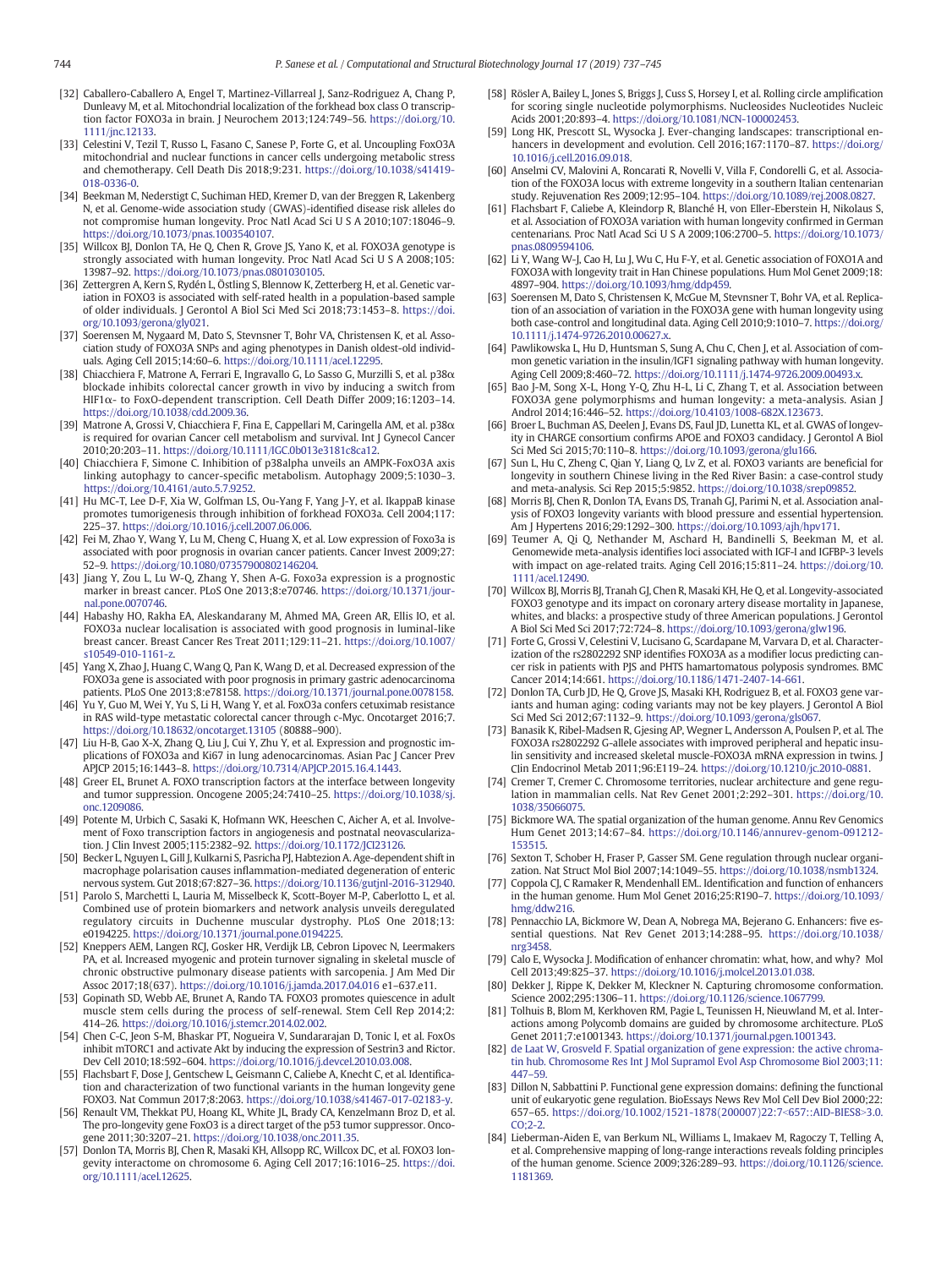- <span id="page-7-0"></span>[32] Caballero-Caballero A, Engel T, Martinez-Villarreal J, Sanz-Rodriguez A, Chang P, Dunleavy M, et al. Mitochondrial localization of the forkhead box class O transcription factor FOXO3a in brain. J Neurochem 2013;124:749–56. [https://doi.org/10.](https://doi.org/10.1111/jnc.12133) [1111/jnc.12133](https://doi.org/10.1111/jnc.12133).
- [33] Celestini V, Tezil T, Russo L, Fasano C, Sanese P, Forte G, et al. Uncoupling FoxO3A mitochondrial and nuclear functions in cancer cells undergoing metabolic stress and chemotherapy. Cell Death Dis 2018;9:231. [https://doi.org/10.1038/s41419-](https://doi.org/10.1038/s41419-018-0336-0) [018-0336-0](https://doi.org/10.1038/s41419-018-0336-0).
- [34] Beekman M, Nederstigt C, Suchiman HED, Kremer D, van der Breggen R, Lakenberg N, et al. Genome-wide association study (GWAS)-identified disease risk alleles do not compromise human longevity. Proc Natl Acad Sci U S A 2010;107:18046–9. <https://doi.org/10.1073/pnas.1003540107>.
- [35] Willcox BJ, Donlon TA, He Q, Chen R, Grove JS, Yano K, et al. FOXO3A genotype is strongly associated with human longevity. Proc Natl Acad Sci U S A 2008;105: 13987–92. [https://doi.org/10.1073/pnas.0801030105.](https://doi.org/10.1073/pnas.0801030105)
- [36] Zettergren A, Kern S, Rydén L, Östling S, Blennow K, Zetterberg H, et al. Genetic variation in FOXO3 is associated with self-rated health in a population-based sample of older individuals. J Gerontol A Biol Sci Med Sci 2018;73:1453–8. [https://doi.](https://doi.org/10.1093/gerona/gly021) [org/10.1093/gerona/gly021](https://doi.org/10.1093/gerona/gly021).
- [37] Soerensen M, Nygaard M, Dato S, Stevnsner T, Bohr VA, Christensen K, et al. Association study of FOXO3A SNPs and aging phenotypes in Danish oldest-old individuals. Aging Cell 2015;14:60–6. <https://doi.org/10.1111/acel.12295>.
- [38] Chiacchiera F, Matrone A, Ferrari E, Ingravallo G, Lo Sasso G, Murzilli S, et al. p38α blockade inhibits colorectal cancer growth in vivo by inducing a switch from HIF1α- to FoxO-dependent transcription. Cell Death Differ 2009;16:1203–14. <https://doi.org/10.1038/cdd.2009.36>.
- [39] Matrone A, Grossi V, Chiacchiera F, Fina E, Cappellari M, Caringella AM, et al. p38α is required for ovarian Cancer cell metabolism and survival. Int J Gynecol Cancer 2010;20:203–11. <https://doi.org/10.1111/IGC.0b013e3181c8ca12>.
- [40] Chiacchiera F, Simone C. Inhibition of p38alpha unveils an AMPK-FoxO3A axis linking autophagy to cancer-specific metabolism. Autophagy 2009;5:1030–3. <https://doi.org/10.4161/auto.5.7.9252>.
- [41] Hu MC-T, Lee D-F, Xia W, Golfman LS, Ou-Yang F, Yang J-Y, et al. IkappaB kinase promotes tumorigenesis through inhibition of forkhead FOXO3a. Cell 2004;117: 225–37. [https://doi.org/10.1016/j.cell.2007.06.006.](https://doi.org/10.1016/j.cell.2007.06.006)
- [42] Fei M, Zhao Y, Wang Y, Lu M, Cheng C, Huang X, et al. Low expression of Foxo3a is associated with poor prognosis in ovarian cancer patients. Cancer Invest 2009;27: 52–9. [https://doi.org/10.1080/07357900802146204.](https://doi.org/10.1080/07357900802146204)
- [43] Jiang Y, Zou L, Lu W-Q, Zhang Y, Shen A-G. Foxo3a expression is a prognostic marker in breast cancer. PLoS One 2013;8:e70746. [https://doi.org/10.1371/jour](https://doi.org/10.1371/journal.pone.0070746)[nal.pone.0070746](https://doi.org/10.1371/journal.pone.0070746).
- [44] Habashy HO, Rakha EA, Aleskandarany M, Ahmed MA, Green AR, Ellis IO, et al. FOXO3a nuclear localisation is associated with good prognosis in luminal-like breast cancer. Breast Cancer Res Treat 2011;129:11–21. [https://doi.org/10.1007/](https://doi.org/10.1007/s10549-010-1161-z) [s10549-010-1161-z](https://doi.org/10.1007/s10549-010-1161-z).
- [45] Yang X, Zhao J, Huang C, Wang Q, Pan K, Wang D, et al. Decreased expression of the FOXO3a gene is associated with poor prognosis in primary gastric adenocarcinoma patients. PLoS One 2013;8:e78158. <https://doi.org/10.1371/journal.pone.0078158>.
- [46] Yu Y, Guo M, Wei Y, Yu S, Li H, Wang Y, et al. FoxO3a confers cetuximab resistance in RAS wild-type metastatic colorectal cancer through c-Myc. Oncotarget 2016;7. <https://doi.org/10.18632/oncotarget.13105> (80888-900).
- [47] Liu H-B, Gao X-X, Zhang Q, Liu J, Cui Y, Zhu Y, et al. Expression and prognostic implications of FOXO3a and Ki67 in lung adenocarcinomas. Asian Pac J Cancer Prev APJCP 2015;16:1443–8. [https://doi.org/10.7314/APJCP.2015.16.4.1443.](https://doi.org/10.7314/APJCP.2015.16.4.1443)
- [48] Greer EL, Brunet A. FOXO transcription factors at the interface between longevity and tumor suppression. Oncogene 2005;24:7410–25. [https://doi.org/10.1038/sj.](https://doi.org/10.1038/sj.onc.1209086) [onc.1209086](https://doi.org/10.1038/sj.onc.1209086).
- [49] Potente M, Urbich C, Sasaki K, Hofmann WK, Heeschen C, Aicher A, et al. Involvement of Foxo transcription factors in angiogenesis and postnatal neovascularization. J Clin Invest 2005;115:2382–92. <https://doi.org/10.1172/JCI23126>.
- [50] Becker L, Nguyen L, Gill J, Kulkarni S, Pasricha PJ, Habtezion A. Age-dependent shift in macrophage polarisation causes inflammation-mediated degeneration of enteric nervous system. Gut 2018;67:827–36. <https://doi.org/10.1136/gutjnl-2016-312940>.
- [51] Parolo S, Marchetti L, Lauria M, Misselbeck K, Scott-Boyer M-P, Caberlotto L, et al. Combined use of protein biomarkers and network analysis unveils deregulated regulatory circuits in Duchenne muscular dystrophy. PLoS One 2018;13: e0194225. <https://doi.org/10.1371/journal.pone.0194225>.
- [52] Kneppers AEM, Langen RCJ, Gosker HR, Verdijk LB, Cebron Lipovec N, Leermakers PA, et al. Increased myogenic and protein turnover signaling in skeletal muscle of chronic obstructive pulmonary disease patients with sarcopenia. J Am Med Dir Assoc 2017;18(637). <https://doi.org/10.1016/j.jamda.2017.04.016> e1–637.e11.
- [53] Gopinath SD, Webb AE, Brunet A, Rando TA. FOXO3 promotes quiescence in adult muscle stem cells during the process of self-renewal. Stem Cell Rep 2014;2: 414–26. [https://doi.org/10.1016/j.stemcr.2014.02.002.](https://doi.org/10.1016/j.stemcr.2014.02.002)
- [54] Chen C-C, Jeon S-M, Bhaskar PT, Nogueira V, Sundararajan D, Tonic I, et al. FoxOs inhibit mTORC1 and activate Akt by inducing the expression of Sestrin3 and Rictor. Dev Cell 2010;18:592–604. <https://doi.org/10.1016/j.devcel.2010.03.008>.
- [55] Flachsbart F, Dose J, Gentschew L, Geismann C, Caliebe A, Knecht C, et al. Identification and characterization of two functional variants in the human longevity gene FOXO3. Nat Commun 2017;8:2063. [https://doi.org/10.1038/s41467-017-02183-y.](https://doi.org/10.1038/s41467-017-02183-y)
- [56] Renault VM, Thekkat PU, Hoang KL, White JL, Brady CA, Kenzelmann Broz D, et al. The pro-longevity gene FoxO3 is a direct target of the p53 tumor suppressor. Oncogene 2011;30:3207-21. <https://doi.org/10.1038/onc.2011.35>.
- [57] Donlon TA, Morris BJ, Chen R, Masaki KH, Allsopp RC, Willcox DC, et al. FOXO3 longevity interactome on chromosome 6. Aging Cell 2017;16:1016–25. [https://doi.](https://doi.org/10.1111/acel.12625) [org/10.1111/acel.12625.](https://doi.org/10.1111/acel.12625)
- [58] Rösler A, Bailey L, Jones S, Briggs J, Cuss S, Horsey I, et al. Rolling circle amplification for scoring single nucleotide polymorphisms. Nucleosides Nucleotides Nucleic Acids 2001;20:893–4. [https://doi.org/10.1081/NCN-100002453.](https://doi.org/10.1081/NCN-100002453)
- [59] Long HK, Prescott SL, Wysocka J. Ever-changing landscapes: transcriptional enhancers in development and evolution. Cell 2016;167:1170-87. [https://doi.org/](https://doi.org/10.1016/j.cell.2016.09.018) [10.1016/j.cell.2016.09.018](https://doi.org/10.1016/j.cell.2016.09.018).
- [60] Anselmi CV, Malovini A, Roncarati R, Novelli V, Villa F, Condorelli G, et al. Association of the FOXO3A locus with extreme longevity in a southern Italian centenarian study. Rejuvenation Res 2009;12:95–104. <https://doi.org/10.1089/rej.2008.0827>.
- [61] Flachsbart F, Caliebe A, Kleindorp R, Blanché H, von Eller-Eberstein H, Nikolaus S, et al. Association of FOXO3A variation with human longevity confirmed in German centenarians. Proc Natl Acad Sci U S A 2009;106:2700–5. [https://doi.org/10.1073/](https://doi.org/10.1073/pnas.0809594106) [pnas.0809594106](https://doi.org/10.1073/pnas.0809594106).
- [62] Li Y, Wang W-J, Cao H, Lu J, Wu C, Hu F-Y, et al. Genetic association of FOXO1A and FOXO3A with longevity trait in Han Chinese populations. Hum Mol Genet 2009;18: 4897–904. <https://doi.org/10.1093/hmg/ddp459>.
- [63] Soerensen M, Dato S, Christensen K, McGue M, Stevnsner T, Bohr VA, et al. Replication of an association of variation in the FOXO3A gene with human longevity using both case-control and longitudinal data. Aging Cell 2010;9:1010-7. [https://doi.org/](https://doi.org/10.1111/j.1474-9726.2010.00627.x) [10.1111/j.1474-9726.2010.00627.x](https://doi.org/10.1111/j.1474-9726.2010.00627.x).
- [64] Pawlikowska L, Hu D, Huntsman S, Sung A, Chu C, Chen J, et al. Association of common genetic variation in the insulin/IGF1 signaling pathway with human longevity. Aging Cell 2009;8:460–72. [https://doi.org/10.1111/j.1474-9726.2009.00493.x.](https://doi.org/10.1111/j.1474-9726.2009.00493.x)
- [65] Bao J-M, Song X-L, Hong Y-Q, Zhu H-L, Li C, Zhang T, et al. Association between FOXO3A gene polymorphisms and human longevity: a meta-analysis. Asian J Androl 2014;16:446–52. [https://doi.org/10.4103/1008-682X.123673.](https://doi.org/10.4103/1008-682X.123673)
- [66] Broer L, Buchman AS, Deelen J, Evans DS, Faul JD, Lunetta KL, et al. GWAS of longevity in CHARGE consortium confirms APOE and FOXO3 candidacy. J Gerontol A Biol Sci Med Sci 2015;70:110–8. [https://doi.org/10.1093/gerona/glu166.](https://doi.org/10.1093/gerona/glu166)
- [67] Sun L, Hu C, Zheng C, Qian Y, Liang Q, Lv Z, et al. FOXO3 variants are beneficial for longevity in southern Chinese living in the Red River Basin: a case-control study and meta-analysis. Sci Rep 2015;5:9852. [https://doi.org/10.1038/srep09852.](https://doi.org/10.1038/srep09852)
- [68] Morris BJ, Chen R, Donlon TA, Evans DS, Tranah GJ, Parimi N, et al. Association analysis of FOXO3 longevity variants with blood pressure and essential hypertension. Am J Hypertens 2016;29:1292–300. <https://doi.org/10.1093/ajh/hpv171>.
- [69] Teumer A, Qi Q, Nethander M, Aschard H, Bandinelli S, Beekman M, et al. Genomewide meta-analysis identifies loci associated with IGF-I and IGFBP-3 levels with impact on age-related traits. Aging Cell 2016;15:811–24. [https://doi.org/10.](https://doi.org/10.1111/acel.12490) [1111/acel.12490](https://doi.org/10.1111/acel.12490).
- [70] Willcox BJ, Morris BJ, Tranah GJ, Chen R, Masaki KH, He Q, et al. Longevity-associated FOXO3 genotype and its impact on coronary artery disease mortality in Japanese, whites, and blacks: a prospective study of three American populations. J Gerontol A Biol Sci Med Sci 2017;72:724–8. <https://doi.org/10.1093/gerona/glw196>.
- [71] Forte G, Grossi V, Celestini V, Lucisano G, Scardapane M, Varvara D, et al. Characterization of the rs2802292 SNP identifies FOXO3A as a modifier locus predicting cancer risk in patients with PJS and PHTS hamartomatous polyposis syndromes. BMC Cancer 2014;14:661. <https://doi.org/10.1186/1471-2407-14-661>.
- [72] Donlon TA, Curb JD, He Q, Grove JS, Masaki KH, Rodriguez B, et al. FOXO3 gene variants and human aging: coding variants may not be key players. J Gerontol A Biol Sci Med Sci 2012;67:1132–9. <https://doi.org/10.1093/gerona/gls067>.
- [73] Banasik K, Ribel-Madsen R, Gjesing AP, Wegner L, Andersson A, Poulsen P, et al. The FOXO3A rs2802292 G-allele associates with improved peripheral and hepatic insulin sensitivity and increased skeletal muscle-FOXO3A mRNA expression in twins. J Clin Endocrinol Metab 2011;96:E119–24. [https://doi.org/10.1210/jc.2010-0881.](https://doi.org/10.1210/jc.2010-0881)
- [74] Cremer T, Cremer C. Chromosome territories, nuclear architecture and gene regulation in mammalian cells. Nat Rev Genet 2001;2:292–301. [https://doi.org/10.](https://doi.org/10.1038/35066075) [1038/35066075.](https://doi.org/10.1038/35066075)
- [75] Bickmore WA. The spatial organization of the human genome. Annu Rev Genomics Hum Genet 2013;14:67–84. [https://doi.org/10.1146/annurev-genom-091212-](https://doi.org/10.1146/annurev-genom-091212-153515) [153515](https://doi.org/10.1146/annurev-genom-091212-153515).
- [76] Sexton T, Schober H, Fraser P, Gasser SM. Gene regulation through nuclear organization. Nat Struct Mol Biol 2007;14:1049–55. <https://doi.org/10.1038/nsmb1324>.
- [77] Coppola CJ, C Ramaker R, Mendenhall EM.. Identification and function of enhancers in the human genome. Hum Mol Genet 2016;25:R190–7. [https://doi.org/10.1093/](https://doi.org/10.1093/hmg/ddw216) [hmg/ddw216](https://doi.org/10.1093/hmg/ddw216).
- [78] Pennacchio LA, Bickmore W, Dean A, Nobrega MA, Bejerano G. Enhancers: five essential questions. Nat Rev Genet 2013;14:288–95. [https://doi.org/10.1038/](https://doi.org/10.1038/nrg3458) [nrg3458.](https://doi.org/10.1038/nrg3458)
- [79] Calo E, Wysocka J. Modification of enhancer chromatin: what, how, and why? Mol Cell 2013;49:825–37. <https://doi.org/10.1016/j.molcel.2013.01.038>.
- [80] Dekker J, Rippe K, Dekker M, Kleckner N. Capturing chromosome conformation. Science 2002;295:1306–11. [https://doi.org/10.1126/science.1067799.](https://doi.org/10.1126/science.1067799)
- [81] Tolhuis B, Blom M, Kerkhoven RM, Pagie L, Teunissen H, Nieuwland M, et al. Interactions among Polycomb domains are guided by chromosome architecture. PLoS Genet 2011;7:e1001343. [https://doi.org/10.1371/journal.pgen.1001343.](https://doi.org/10.1371/journal.pgen.1001343)
- [82] [de Laat W, Grosveld F. Spatial organization of gene expression: the active chroma](http://refhub.elsevier.com/S2001-0370(19)30101-1/rf0415)[tin hub. Chromosome Res Int J Mol Supramol Evol Asp Chromosome Biol 2003;11:](http://refhub.elsevier.com/S2001-0370(19)30101-1/rf0415) [447](http://refhub.elsevier.com/S2001-0370(19)30101-1/rf0415)–59.
- [83] Dillon N, Sabbattini P. Functional gene expression domains: defining the functional unit of eukaryotic gene regulation. BioEssays News Rev Mol Cell Dev Biol 2000;22: 657–65. [https://doi.org/10.1002/1521-1878\(200007\)22:7](https://doi.org/10.1002/1521-1878(200007)22:7<657::AID-BIES8>3.0.CO;2-2)<[657::AID-BIES8](https://doi.org/10.1002/1521-1878(200007)22:7<657::AID-BIES8>3.0.CO;2-2)>[3.0.](https://doi.org/10.1002/1521-1878(200007)22:7<657::AID-BIES8>3.0.CO;2-2) [CO;2-2.](https://doi.org/10.1002/1521-1878(200007)22:7<657::AID-BIES8>3.0.CO;2-2)
- [84] Lieberman-Aiden E, van Berkum NL, Williams L, Imakaev M, Ragoczy T, Telling A, et al. Comprehensive mapping of long-range interactions reveals folding principles of the human genome. Science 2009;326:289–93. [https://doi.org/10.1126/science.](https://doi.org/10.1126/science.1181369) [1181369.](https://doi.org/10.1126/science.1181369)